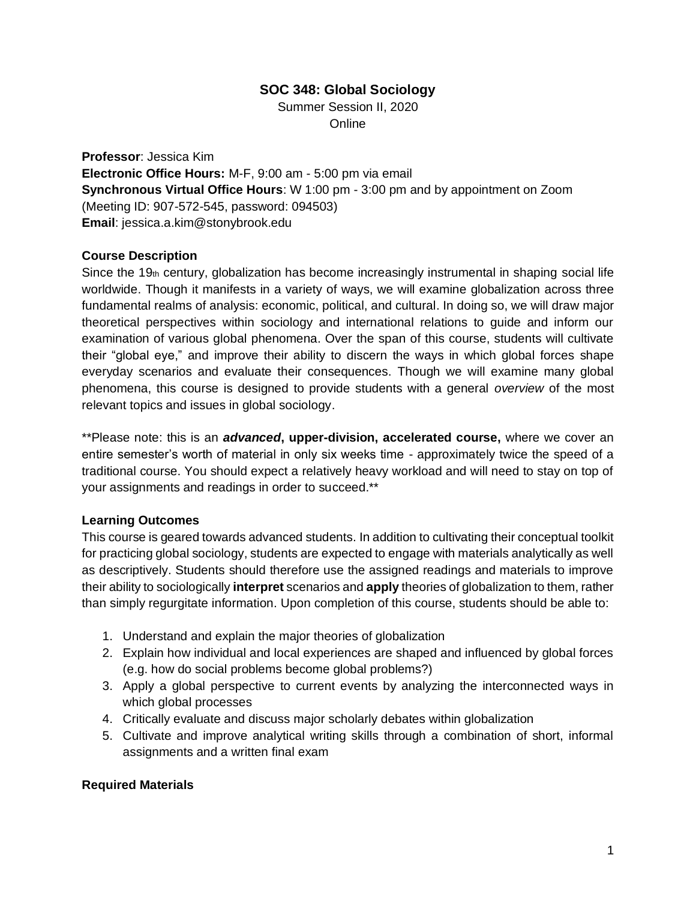## **SOC 348: Global Sociology**

Summer Session II, 2020 **Online** 

**Professor**: Jessica Kim **Electronic Office Hours:** M-F, 9:00 am - 5:00 pm via email **Synchronous Virtual Office Hours**: W 1:00 pm - 3:00 pm and by appointment on Zoom (Meeting ID: 907-572-545, password: 094503) **Email**: jessica.a.kim@stonybrook.edu

### **Course Description**

Since the 19 $<sub>th</sub>$  century, globalization has become increasingly instrumental in shaping social life</sub> worldwide. Though it manifests in a variety of ways, we will examine globalization across three fundamental realms of analysis: economic, political, and cultural. In doing so, we will draw major theoretical perspectives within sociology and international relations to guide and inform our examination of various global phenomena. Over the span of this course, students will cultivate their "global eye," and improve their ability to discern the ways in which global forces shape everyday scenarios and evaluate their consequences. Though we will examine many global phenomena, this course is designed to provide students with a general *overview* of the most relevant topics and issues in global sociology.

\*\*Please note: this is an *advanced***, upper-division, accelerated course,** where we cover an entire semester's worth of material in only six weeks time - approximately twice the speed of a traditional course. You should expect a relatively heavy workload and will need to stay on top of your assignments and readings in order to succeed.\*\*

#### **Learning Outcomes**

This course is geared towards advanced students. In addition to cultivating their conceptual toolkit for practicing global sociology, students are expected to engage with materials analytically as well as descriptively. Students should therefore use the assigned readings and materials to improve their ability to sociologically **interpret** scenarios and **apply** theories of globalization to them, rather than simply regurgitate information. Upon completion of this course, students should be able to:

- 1. Understand and explain the major theories of globalization
- 2. Explain how individual and local experiences are shaped and influenced by global forces (e.g. how do social problems become global problems?)
- 3. Apply a global perspective to current events by analyzing the interconnected ways in which global processes
- 4. Critically evaluate and discuss major scholarly debates within globalization
- 5. Cultivate and improve analytical writing skills through a combination of short, informal assignments and a written final exam

## **Required Materials**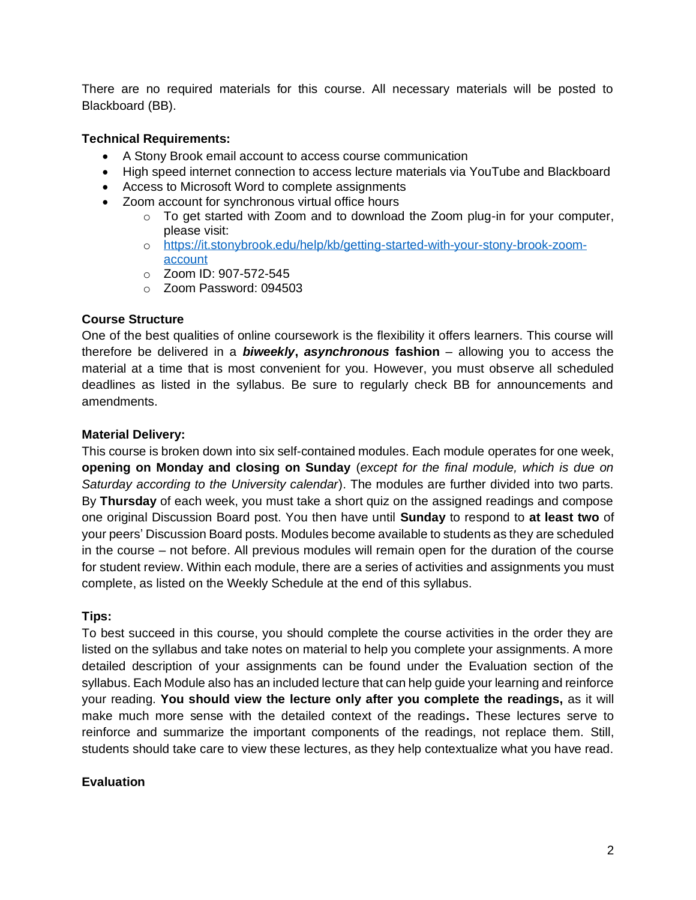There are no required materials for this course. All necessary materials will be posted to Blackboard (BB).

#### **Technical Requirements:**

- A Stony Brook email account to access course communication
- High speed internet connection to access lecture materials via YouTube and Blackboard
- Access to Microsoft Word to complete assignments
- Zoom account for synchronous virtual office hours
	- $\circ$  To get started with Zoom and to download the Zoom plug-in for your computer, please visit:
	- o [https://it.stonybrook.edu/help/kb/getting-started-with-your-stony-brook-zoom](https://it.stonybrook.edu/help/kb/getting-started-with-your-stony-brook-zoom-account)[account](https://it.stonybrook.edu/help/kb/getting-started-with-your-stony-brook-zoom-account)
	- o Zoom ID: 907-572-545
	- o Zoom Password: 094503

#### **Course Structure**

One of the best qualities of online coursework is the flexibility it offers learners. This course will therefore be delivered in a *biweekly***,** *asynchronous* **fashion** *–* allowing you to access the material at a time that is most convenient for you. However, you must observe all scheduled deadlines as listed in the syllabus. Be sure to regularly check BB for announcements and amendments.

#### **Material Delivery:**

This course is broken down into six self-contained modules. Each module operates for one week, **opening on Monday and closing on Sunday** (*except for the final module, which is due on Saturday according to the University calendar*). The modules are further divided into two parts. By **Thursday** of each week, you must take a short quiz on the assigned readings and compose one original Discussion Board post. You then have until **Sunday** to respond to **at least two** of your peers' Discussion Board posts. Modules become available to students as they are scheduled in the course – not before. All previous modules will remain open for the duration of the course for student review. Within each module, there are a series of activities and assignments you must complete, as listed on the Weekly Schedule at the end of this syllabus.

#### **Tips:**

To best succeed in this course, you should complete the course activities in the order they are listed on the syllabus and take notes on material to help you complete your assignments. A more detailed description of your assignments can be found under the Evaluation section of the syllabus. Each Module also has an included lecture that can help guide your learning and reinforce your reading. **You should view the lecture only after you complete the readings,** as it will make much more sense with the detailed context of the readings**.** These lectures serve to reinforce and summarize the important components of the readings, not replace them. Still, students should take care to view these lectures, as they help contextualize what you have read.

#### **Evaluation**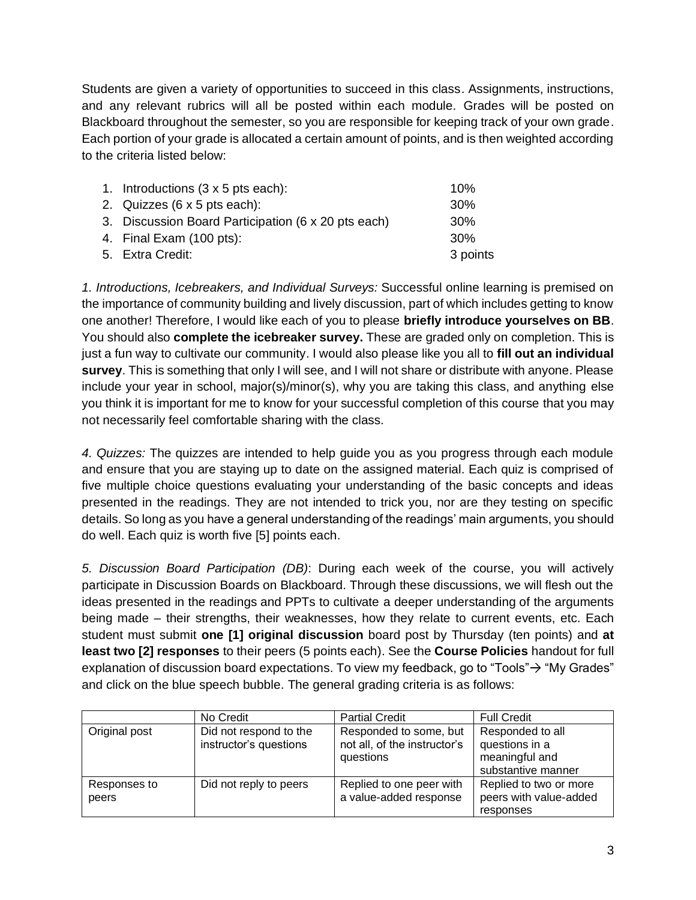Students are given a variety of opportunities to succeed in this class. Assignments, instructions, and any relevant rubrics will all be posted within each module. Grades will be posted on Blackboard throughout the semester, so you are responsible for keeping track of your own grade. Each portion of your grade is allocated a certain amount of points, and is then weighted according to the criteria listed below:

| 1. Introductions $(3 \times 5)$ pts each):          | 10%             |
|-----------------------------------------------------|-----------------|
| 2. Quizzes $(6 \times 5$ pts each):                 | 30 <sup>%</sup> |
| 3. Discussion Board Participation (6 x 20 pts each) | 30 <sup>%</sup> |
| 4. Final Exam (100 pts):                            | 30 <sup>%</sup> |
| 5. Extra Credit:                                    | 3 points        |

*1. Introductions, Icebreakers, and Individual Surveys:* Successful online learning is premised on the importance of community building and lively discussion, part of which includes getting to know one another! Therefore, I would like each of you to please **briefly introduce yourselves on BB**. You should also **complete the icebreaker survey.** These are graded only on completion. This is just a fun way to cultivate our community. I would also please like you all to **fill out an individual survey**. This is something that only I will see, and I will not share or distribute with anyone. Please include your year in school, major(s)/minor(s), why you are taking this class, and anything else you think it is important for me to know for your successful completion of this course that you may not necessarily feel comfortable sharing with the class.

*4. Quizzes:* The quizzes are intended to help guide you as you progress through each module and ensure that you are staying up to date on the assigned material. Each quiz is comprised of five multiple choice questions evaluating your understanding of the basic concepts and ideas presented in the readings. They are not intended to trick you, nor are they testing on specific details. So long as you have a general understanding of the readings' main arguments, you should do well. Each quiz is worth five [5] points each.

*5. Discussion Board Participation (DB)*: During each week of the course, you will actively participate in Discussion Boards on Blackboard. Through these discussions, we will flesh out the ideas presented in the readings and PPTs to cultivate a deeper understanding of the arguments being made – their strengths, their weaknesses, how they relate to current events, etc. Each student must submit **one [1] original discussion** board post by Thursday (ten points) and **at least two [2] responses** to their peers (5 points each). See the **Course Policies** handout for full explanation of discussion board expectations. To view my feedback, go to "Tools" $\rightarrow$  "My Grades" and click on the blue speech bubble. The general grading criteria is as follows:

|                       | No Credit                                        | <b>Partial Credit</b>                                               | <b>Full Credit</b>                                                         |
|-----------------------|--------------------------------------------------|---------------------------------------------------------------------|----------------------------------------------------------------------------|
| Original post         | Did not respond to the<br>instructor's questions | Responded to some, but<br>not all, of the instructor's<br>questions | Responded to all<br>questions in a<br>meaningful and<br>substantive manner |
| Responses to<br>peers | Did not reply to peers                           | Replied to one peer with<br>a value-added response                  | Replied to two or more<br>peers with value-added<br>responses              |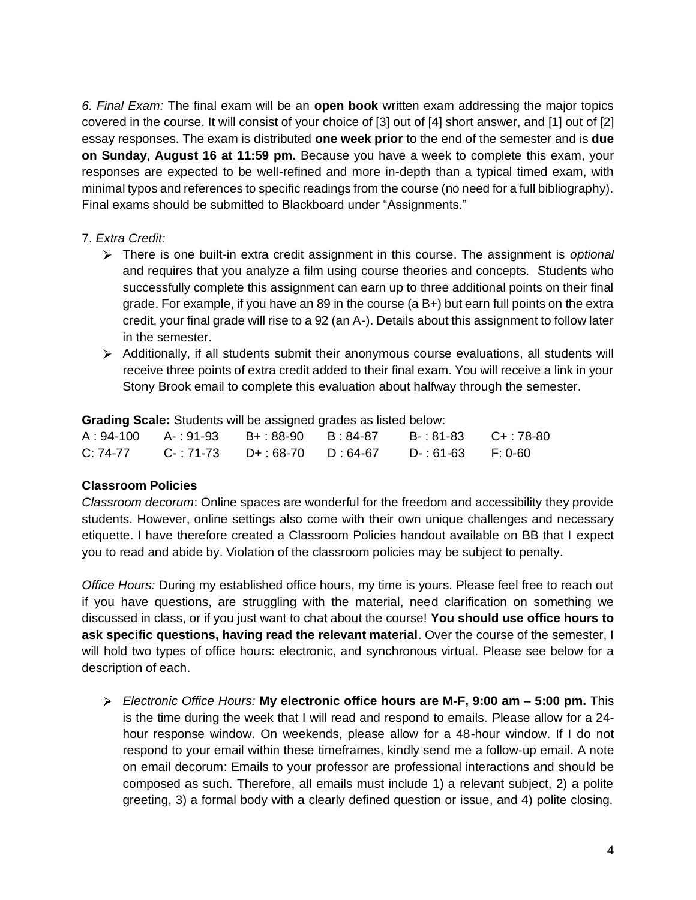*6. Final Exam:* The final exam will be an **open book** written exam addressing the major topics covered in the course. It will consist of your choice of [3] out of [4] short answer, and [1] out of [2] essay responses. The exam is distributed **one week prior** to the end of the semester and is **due on Sunday, August 16 at 11:59 pm.** Because you have a week to complete this exam, your responses are expected to be well-refined and more in-depth than a typical timed exam, with minimal typos and references to specific readings from the course (no need for a full bibliography). Final exams should be submitted to Blackboard under "Assignments."

## 7. *Extra Credit:*

- There is one built-in extra credit assignment in this course. The assignment is *optional* and requires that you analyze a film using course theories and concepts. Students who successfully complete this assignment can earn up to three additional points on their final grade. For example, if you have an 89 in the course (a B+) but earn full points on the extra credit, your final grade will rise to a 92 (an A-). Details about this assignment to follow later in the semester.
- Additionally, if all students submit their anonymous course evaluations, all students will receive three points of extra credit added to their final exam. You will receive a link in your Stony Brook email to complete this evaluation about halfway through the semester.

**Grading Scale:** Students will be assigned grades as listed below:

|  | A:94-100  A-:91-93  B+:88-90  B:84-87 | B-:81-83  C+:78-80 |  |
|--|---------------------------------------|--------------------|--|
|  | C: 74-77 C-: 71-73 D+: 68-70 D: 64-67 | D-:61-63 F:0-60    |  |

#### **Classroom Policies**

*Classroom decorum*: Online spaces are wonderful for the freedom and accessibility they provide students. However, online settings also come with their own unique challenges and necessary etiquette. I have therefore created a Classroom Policies handout available on BB that I expect you to read and abide by. Violation of the classroom policies may be subject to penalty.

*Office Hours:* During my established office hours, my time is yours. Please feel free to reach out if you have questions, are struggling with the material, need clarification on something we discussed in class, or if you just want to chat about the course! **You should use office hours to ask specific questions, having read the relevant material**. Over the course of the semester, I will hold two types of office hours: electronic, and synchronous virtual. Please see below for a description of each.

*Electronic Office Hours:* **My electronic office hours are M-F, 9:00 am – 5:00 pm.** This is the time during the week that I will read and respond to emails. Please allow for a 24 hour response window. On weekends, please allow for a 48-hour window. If I do not respond to your email within these timeframes, kindly send me a follow-up email. A note on email decorum: Emails to your professor are professional interactions and should be composed as such. Therefore, all emails must include 1) a relevant subject, 2) a polite greeting, 3) a formal body with a clearly defined question or issue, and 4) polite closing.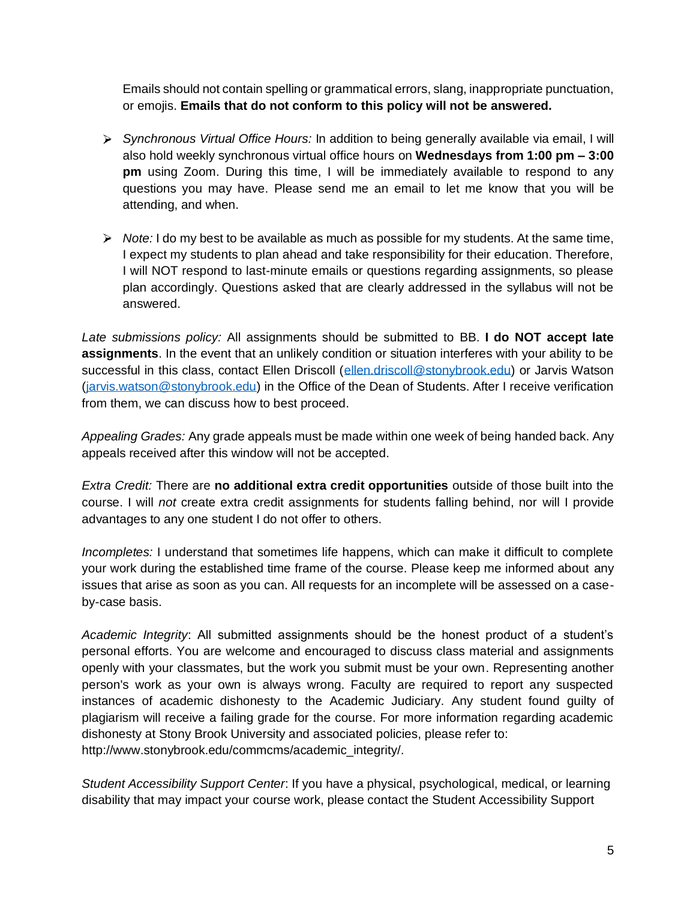Emails should not contain spelling or grammatical errors, slang, inappropriate punctuation, or emojis. **Emails that do not conform to this policy will not be answered.**

- *Synchronous Virtual Office Hours:* In addition to being generally available via email, I will also hold weekly synchronous virtual office hours on **Wednesdays from 1:00 pm – 3:00 pm** using Zoom. During this time, I will be immediately available to respond to any questions you may have. Please send me an email to let me know that you will be attending, and when.
- *Note:* I do my best to be available as much as possible for my students. At the same time, I expect my students to plan ahead and take responsibility for their education. Therefore, I will NOT respond to last-minute emails or questions regarding assignments, so please plan accordingly. Questions asked that are clearly addressed in the syllabus will not be answered.

*Late submissions policy:* All assignments should be submitted to BB. **I do NOT accept late assignments**. In the event that an unlikely condition or situation interferes with your ability to be successful in this class, contact Ellen Driscoll [\(ellen.driscoll@stonybrook.edu\)](mailto:ellen.driscoll@stonybrook.edu) or Jarvis Watson [\(jarvis.watson@stonybrook.edu\)](mailto:jarvis.watson@stonybrook.edu) in the Office of the Dean of Students. After I receive verification from them, we can discuss how to best proceed.

*Appealing Grades:* Any grade appeals must be made within one week of being handed back. Any appeals received after this window will not be accepted.

*Extra Credit:* There are **no additional extra credit opportunities** outside of those built into the course. I will *not* create extra credit assignments for students falling behind, nor will I provide advantages to any one student I do not offer to others.

*Incompletes:* I understand that sometimes life happens, which can make it difficult to complete your work during the established time frame of the course. Please keep me informed about any issues that arise as soon as you can. All requests for an incomplete will be assessed on a caseby-case basis.

*Academic Integrity*: All submitted assignments should be the honest product of a student's personal efforts. You are welcome and encouraged to discuss class material and assignments openly with your classmates, but the work you submit must be your own. Representing another person's work as your own is always wrong. Faculty are required to report any suspected instances of academic dishonesty to the Academic Judiciary. Any student found guilty of plagiarism will receive a failing grade for the course. For more information regarding academic dishonesty at Stony Brook University and associated policies, please refer to: http://www.stonybrook.edu/commcms/academic\_integrity/.

*Student Accessibility Support Center*: If you have a physical, psychological, medical, or learning disability that may impact your course work, please contact the Student Accessibility Support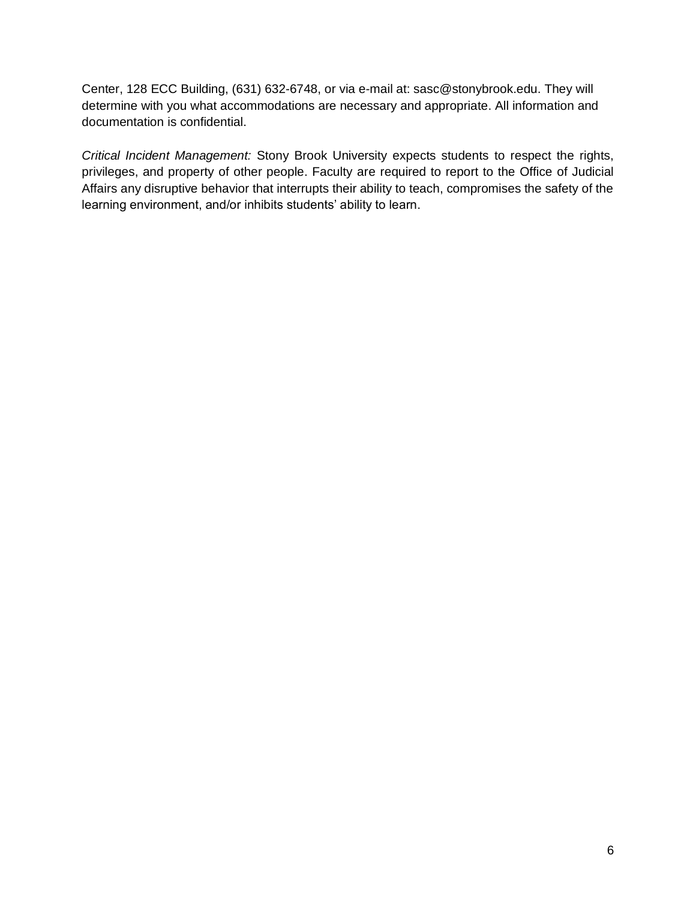Center, 128 ECC Building, (631) 632-6748, or via e-mail at: sasc@stonybrook.edu. They will determine with you what accommodations are necessary and appropriate. All information and documentation is confidential.

*Critical Incident Management:* Stony Brook University expects students to respect the rights, privileges, and property of other people. Faculty are required to report to the Office of Judicial Affairs any disruptive behavior that interrupts their ability to teach, compromises the safety of the learning environment, and/or inhibits students' ability to learn.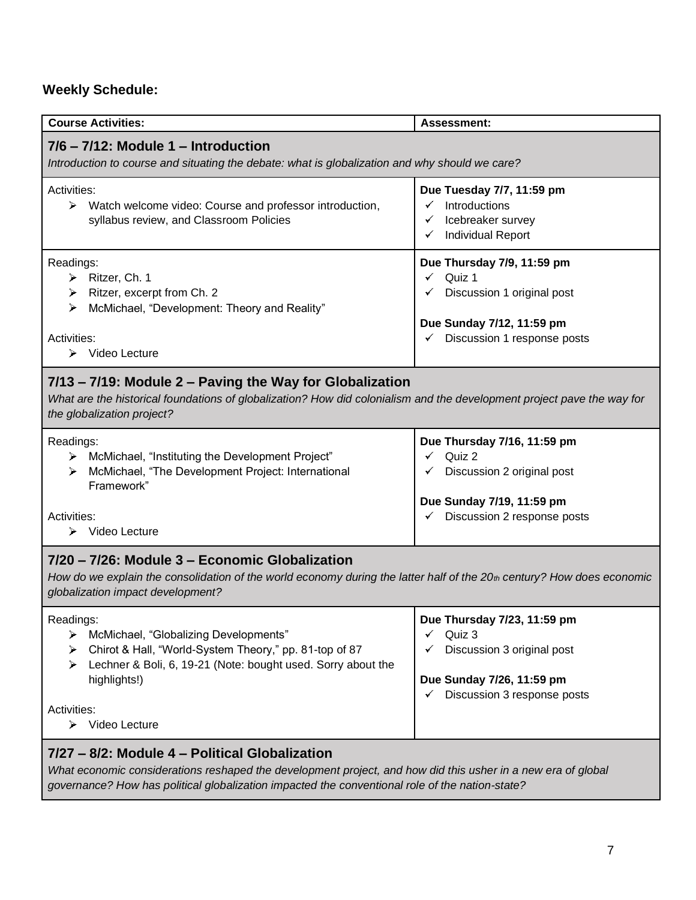# **Weekly Schedule:**

| <b>Course Activities:</b>                                                                                                                                                                                                                                    | <b>Assessment:</b>                                                                                                                             |  |  |
|--------------------------------------------------------------------------------------------------------------------------------------------------------------------------------------------------------------------------------------------------------------|------------------------------------------------------------------------------------------------------------------------------------------------|--|--|
| $7/6$ – $7/12$ : Module 1 – Introduction<br>Introduction to course and situating the debate: what is globalization and why should we care?                                                                                                                   |                                                                                                                                                |  |  |
| Activities:<br>$\blacktriangleright$<br>Watch welcome video: Course and professor introduction,<br>syllabus review, and Classroom Policies                                                                                                                   | Due Tuesday 7/7, 11:59 pm<br>Introductions<br>Icebreaker survey<br>$\checkmark$<br><b>Individual Report</b><br>✓                               |  |  |
| Readings:<br>$\triangleright$ Ritzer, Ch. 1<br>$\triangleright$ Ritzer, excerpt from Ch. 2<br>McMichael, "Development: Theory and Reality"<br>⋗<br>Activities:<br>$\triangleright$ Video Lecture                                                             | Due Thursday 7/9, 11:59 pm<br>Quiz 1<br>$\checkmark$<br>Discussion 1 original post<br>Due Sunday 7/12, 11:59 pm<br>Discussion 1 response posts |  |  |
| 7/13 - 7/19: Module 2 - Paving the Way for Globalization<br>What are the historical foundations of globalization? How did colonialism and the development project pave the way for<br>the globalization project?                                             |                                                                                                                                                |  |  |
| Readings:<br>> McMichael, "Instituting the Development Project"<br>McMichael, "The Development Project: International<br>⋗<br>Framework"<br>Activities:<br>Video Lecture<br>➤                                                                                | Due Thursday 7/16, 11:59 pm<br>Quiz 2<br>Discussion 2 original post<br>Due Sunday 7/19, 11:59 pm<br>Discussion 2 response posts                |  |  |
| 7/20 - 7/26: Module 3 - Economic Globalization<br>How do we explain the consolidation of the world economy during the latter half of the $20$ th century? How does economic<br>globalization impact development?                                             |                                                                                                                                                |  |  |
| Readings:<br>McMichael, "Globalizing Developments"<br>➤<br>Chirot & Hall, "World-System Theory," pp. 81-top of 87<br>≻<br>Lechner & Boli, 6, 19-21 (Note: bought used. Sorry about the<br>⋗<br>highlights!)<br>Activities:<br>$\triangleright$ Video Lecture | Due Thursday 7/23, 11:59 pm<br>Quiz 3<br>✓<br>Discussion 3 original post<br>✓<br>Due Sunday 7/26, 11:59 pm<br>Discussion 3 response posts      |  |  |
| 7/27 - 8/2: Module 4 - Political Globalization                                                                                                                                                                                                               |                                                                                                                                                |  |  |

*What economic considerations reshaped the development project, and how did this usher in a new era of global governance? How has political globalization impacted the conventional role of the nation-state?*